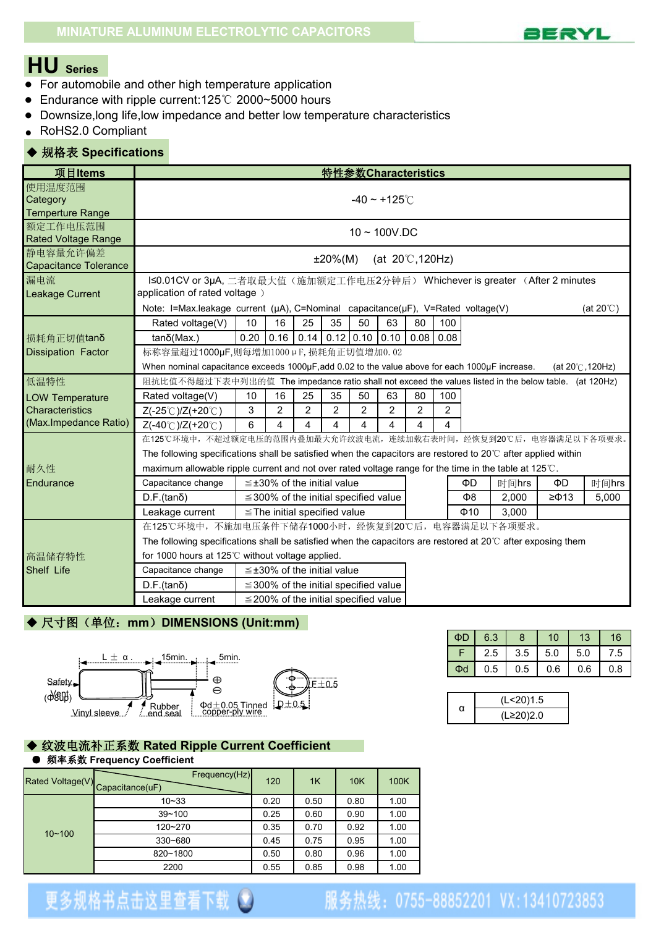

# **HU Series**

- For automobile and other high temperature application
- Endurance with ripple current:125℃ 2000~5000 hours
- Downsize,long life,low impedance and better low temperature characteristics
- RoHS2.0 Compliant

### ◆ 规格表 **Specifications**

| 项目Items                                       |                                                                                                                                                                                                                                                                                                            |                                                                                                                        |                |                | 特性参数Characteristics                        |                |                |                |                |           |       |                  |       |
|-----------------------------------------------|------------------------------------------------------------------------------------------------------------------------------------------------------------------------------------------------------------------------------------------------------------------------------------------------------------|------------------------------------------------------------------------------------------------------------------------|----------------|----------------|--------------------------------------------|----------------|----------------|----------------|----------------|-----------|-------|------------------|-------|
| 使用温度范围<br>Category<br><b>Temperture Range</b> | -40 $\sim$ +125 $\degree$ C                                                                                                                                                                                                                                                                                |                                                                                                                        |                |                |                                            |                |                |                |                |           |       |                  |       |
| 额定工作电压范围<br><b>Rated Voltage Range</b>        | $10 \sim 100$ V.DC                                                                                                                                                                                                                                                                                         |                                                                                                                        |                |                |                                            |                |                |                |                |           |       |                  |       |
| 静电容量允许偏差<br><b>Capacitance Tolerance</b>      | $±20\%(M)$<br>(at $20^{\circ}$ C, 120Hz)                                                                                                                                                                                                                                                                   |                                                                                                                        |                |                |                                            |                |                |                |                |           |       |                  |       |
| 漏电流<br>Leakage Current                        | I≤0.01CV or 3µA, 二者取最大值(施加额定工作电压2分钟后) Whichever is greater (After 2 minutes<br>application of rated voltage)<br>Note: I=Max.leakage current (µA), C=Nominal capacitance(µF), V=Rated voltage(V)<br>(at $20^{\circ}$ C)                                                                                     |                                                                                                                        |                |                |                                            |                |                |                |                |           |       |                  |       |
| 胡耗角正切值tanδ<br><b>Dissipation Factor</b>       | 80<br>100<br>Rated voltage(V)<br>10<br>16<br>25<br>35<br>50<br>63<br>$0.20$ 0.16 0.14 0.12 0.10 0.10 0.08 0.08<br>$tan\delta(Max.)$<br>标称容量超过1000µF,则每增加1000µF, 损耗角正切值增加0.02<br>When nominal capacitance exceeds 1000µF, add 0.02 to the value above for each 1000µF increase.<br>(at $20^\circ$ C, 120Hz) |                                                                                                                        |                |                |                                            |                |                |                |                |           |       |                  |       |
| 低温特性                                          | 阻抗比值不得超过下表中列出的值 The impedance ratio shall not exceed the values listed in the below table. (at 120Hz)                                                                                                                                                                                                      |                                                                                                                        |                |                |                                            |                |                |                |                |           |       |                  |       |
| <b>LOW Temperature</b>                        | Rated voltage(V)                                                                                                                                                                                                                                                                                           | 10                                                                                                                     | 16             | 25             | 35                                         | 50             | 63             | 80             | 100            |           |       |                  |       |
| <b>Characteristics</b>                        | Z(-25℃)/Z(+20℃)                                                                                                                                                                                                                                                                                            | 3                                                                                                                      | $\overline{2}$ | $\overline{2}$ | $\overline{2}$                             | $\overline{2}$ | $\overline{2}$ | $\overline{2}$ | $\overline{2}$ |           |       |                  |       |
| (Max.Impedance Ratio)                         | Z(-40°C)/Z(+20°C)                                                                                                                                                                                                                                                                                          | 6                                                                                                                      | 4              | 4              | 4                                          | 4              | 4              | 4              | 4              |           |       |                  |       |
|                                               | 在125℃环境中,不超过额定电压的范围内叠加最大允许纹波电流,连续加载右表时间,经恢复到20℃后,电容器满足以下各项要求。                                                                                                                                                                                                                                              |                                                                                                                        |                |                |                                            |                |                |                |                |           |       |                  |       |
|                                               | The following specifications shall be satisfied when the capacitors are restored to 20°C after applied within                                                                                                                                                                                              |                                                                                                                        |                |                |                                            |                |                |                |                |           |       |                  |       |
| 耐久性                                           | maximum allowable ripple current and not over rated voltage range for the time in the table at 125°C.                                                                                                                                                                                                      |                                                                                                                        |                |                |                                            |                |                |                |                |           |       |                  |       |
| Endurance                                     | Capacitance change                                                                                                                                                                                                                                                                                         |                                                                                                                        |                |                | $\leq$ ±30% of the initial value           |                |                |                |                | ΦD        | 时间hrs | ΦD               | 时间hrs |
|                                               | $D.F.(tan\delta)$                                                                                                                                                                                                                                                                                          |                                                                                                                        |                |                | $\leq$ 300% of the initial specified value |                |                |                |                | Ф8        | 2,000 | $\geq$ $\Phi$ 13 | 5,000 |
|                                               | Leakage current                                                                                                                                                                                                                                                                                            |                                                                                                                        |                |                | $\le$ The initial specified value          |                |                |                |                | $\Phi$ 10 | 3,000 |                  |       |
|                                               | 在125℃环境中,不施加电压条件下储存1000小时,经恢复到20℃后,电容器满足以下各项要求。                                                                                                                                                                                                                                                            |                                                                                                                        |                |                |                                            |                |                |                |                |           |       |                  |       |
|                                               |                                                                                                                                                                                                                                                                                                            | The following specifications shall be satisfied when the capacitors are restored at $20^{\circ}$ C after exposing them |                |                |                                            |                |                |                |                |           |       |                  |       |
| 高温储存特性                                        | for 1000 hours at 125°C without voltage applied.                                                                                                                                                                                                                                                           |                                                                                                                        |                |                |                                            |                |                |                |                |           |       |                  |       |
| Shelf Life                                    | Capacitance change                                                                                                                                                                                                                                                                                         |                                                                                                                        |                |                | $\leq$ ±30% of the initial value           |                |                |                |                |           |       |                  |       |
|                                               | $D.F.(tan\delta)$                                                                                                                                                                                                                                                                                          |                                                                                                                        |                |                | $\leq$ 300% of the initial specified value |                |                |                |                |           |       |                  |       |
|                                               | $\leq$ 200% of the initial specified value<br>Leakage current                                                                                                                                                                                                                                              |                                                                                                                        |                |                |                                            |                |                |                |                |           |       |                  |       |

# ◆ 尺寸图(单位: mm) DIMENSIONS (Unit:mm)



#### ◆ 纹波电流补正系数 **Rated Ripple Current Coefficient** ● 频率系数 **Frequency Coefficient**

|            | Frequency(Hz)<br>Rated Voltage(V) Capacitance(uF) | 120  | 1K   | 10K  | 100K |
|------------|---------------------------------------------------|------|------|------|------|
|            | $10 - 33$                                         | 0.20 | 0.50 | 0.80 | 1.00 |
| $10 - 100$ | $39 - 100$                                        | 0.25 | 0.60 | 0.90 | 1.00 |
|            | 120~270                                           | 0.35 | 0.70 | 0.92 | 1.00 |
|            | 330~680                                           | 0.45 | 0.75 | 0.95 | 1.00 |
|            | 820~1800                                          | 0.50 | 0.80 | 0.96 | 1.00 |
|            | 2200                                              | 0.55 | 0.85 | 0.98 | 1.00 |

| $\Phi$ D | 6.3 | 8   | 10  | 13  | 16  |
|----------|-----|-----|-----|-----|-----|
|          | 2.5 | 3.5 | 5.0 | 5.0 | 7.5 |
| $\Phi$ d | 0.5 | 0.5 | 0.6 | 0.6 | 0.8 |

|   | (L<20)1.5 |
|---|-----------|
| α | (L≥20)2.0 |